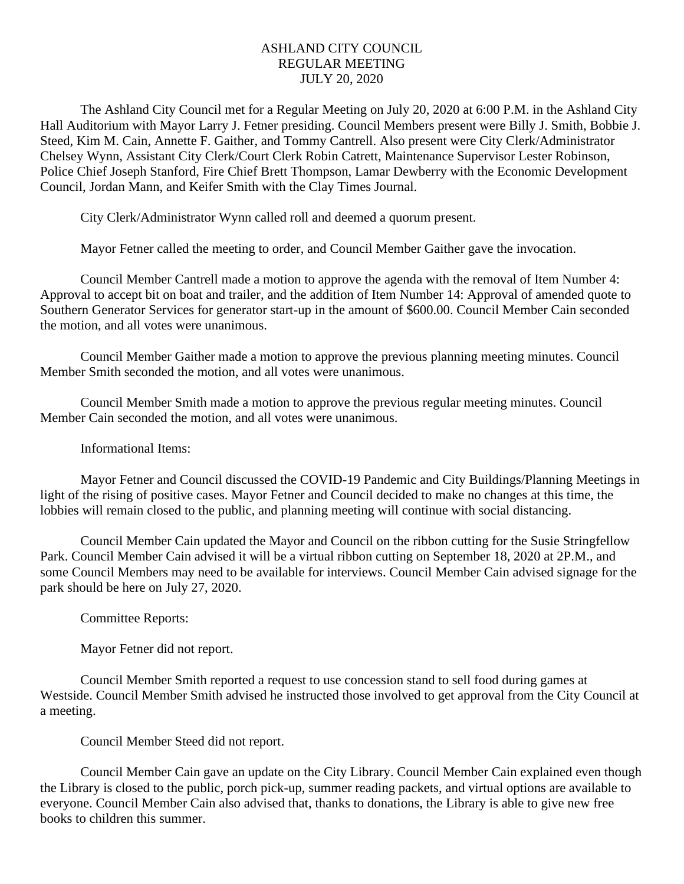## ASHLAND CITY COUNCIL REGULAR MEETING JULY 20, 2020

The Ashland City Council met for a Regular Meeting on July 20, 2020 at 6:00 P.M. in the Ashland City Hall Auditorium with Mayor Larry J. Fetner presiding. Council Members present were Billy J. Smith, Bobbie J. Steed, Kim M. Cain, Annette F. Gaither, and Tommy Cantrell. Also present were City Clerk/Administrator Chelsey Wynn, Assistant City Clerk/Court Clerk Robin Catrett, Maintenance Supervisor Lester Robinson, Police Chief Joseph Stanford, Fire Chief Brett Thompson, Lamar Dewberry with the Economic Development Council, Jordan Mann, and Keifer Smith with the Clay Times Journal.

City Clerk/Administrator Wynn called roll and deemed a quorum present.

Mayor Fetner called the meeting to order, and Council Member Gaither gave the invocation.

Council Member Cantrell made a motion to approve the agenda with the removal of Item Number 4: Approval to accept bit on boat and trailer, and the addition of Item Number 14: Approval of amended quote to Southern Generator Services for generator start-up in the amount of \$600.00. Council Member Cain seconded the motion, and all votes were unanimous.

Council Member Gaither made a motion to approve the previous planning meeting minutes. Council Member Smith seconded the motion, and all votes were unanimous.

Council Member Smith made a motion to approve the previous regular meeting minutes. Council Member Cain seconded the motion, and all votes were unanimous.

Informational Items:

Mayor Fetner and Council discussed the COVID-19 Pandemic and City Buildings/Planning Meetings in light of the rising of positive cases. Mayor Fetner and Council decided to make no changes at this time, the lobbies will remain closed to the public, and planning meeting will continue with social distancing.

Council Member Cain updated the Mayor and Council on the ribbon cutting for the Susie Stringfellow Park. Council Member Cain advised it will be a virtual ribbon cutting on September 18, 2020 at 2P.M., and some Council Members may need to be available for interviews. Council Member Cain advised signage for the park should be here on July 27, 2020.

Committee Reports:

Mayor Fetner did not report.

Council Member Smith reported a request to use concession stand to sell food during games at Westside. Council Member Smith advised he instructed those involved to get approval from the City Council at a meeting.

Council Member Steed did not report.

Council Member Cain gave an update on the City Library. Council Member Cain explained even though the Library is closed to the public, porch pick-up, summer reading packets, and virtual options are available to everyone. Council Member Cain also advised that, thanks to donations, the Library is able to give new free books to children this summer.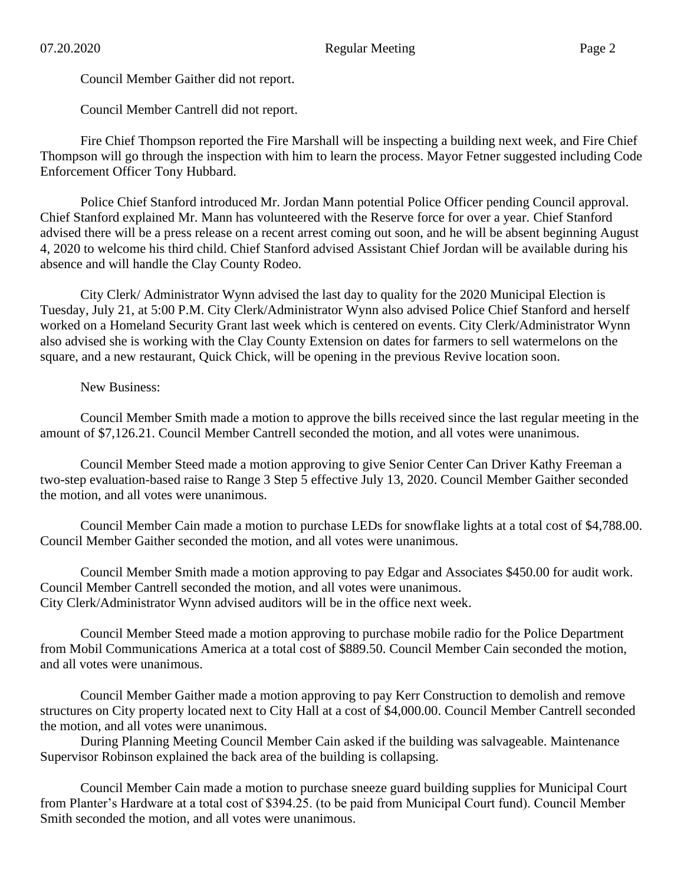Council Member Gaither did not report.

Council Member Cantrell did not report.

Fire Chief Thompson reported the Fire Marshall will be inspecting a building next week, and Fire Chief Thompson will go through the inspection with him to learn the process. Mayor Fetner suggested including Code Enforcement Officer Tony Hubbard.

Police Chief Stanford introduced Mr. Jordan Mann potential Police Officer pending Council approval. Chief Stanford explained Mr. Mann has volunteered with the Reserve force for over a year. Chief Stanford advised there will be a press release on a recent arrest coming out soon, and he will be absent beginning August 4, 2020 to welcome his third child. Chief Stanford advised Assistant Chief Jordan will be available during his absence and will handle the Clay County Rodeo.

City Clerk/ Administrator Wynn advised the last day to quality for the 2020 Municipal Election is Tuesday, July 21, at 5:00 P.M. City Clerk/Administrator Wynn also advised Police Chief Stanford and herself worked on a Homeland Security Grant last week which is centered on events. City Clerk/Administrator Wynn also advised she is working with the Clay County Extension on dates for farmers to sell watermelons on the square, and a new restaurant, Quick Chick, will be opening in the previous Revive location soon.

New Business:

Council Member Smith made a motion to approve the bills received since the last regular meeting in the amount of \$7,126.21. Council Member Cantrell seconded the motion, and all votes were unanimous.

Council Member Steed made a motion approving to give Senior Center Can Driver Kathy Freeman a two-step evaluation-based raise to Range 3 Step 5 effective July 13, 2020. Council Member Gaither seconded the motion, and all votes were unanimous.

Council Member Cain made a motion to purchase LEDs for snowflake lights at a total cost of \$4,788.00. Council Member Gaither seconded the motion, and all votes were unanimous.

Council Member Smith made a motion approving to pay Edgar and Associates \$450.00 for audit work. Council Member Cantrell seconded the motion, and all votes were unanimous. City Clerk/Administrator Wynn advised auditors will be in the office next week.

Council Member Steed made a motion approving to purchase mobile radio for the Police Department from Mobil Communications America at a total cost of \$889.50. Council Member Cain seconded the motion, and all votes were unanimous.

Council Member Gaither made a motion approving to pay Kerr Construction to demolish and remove structures on City property located next to City Hall at a cost of \$4,000.00. Council Member Cantrell seconded the motion, and all votes were unanimous.

During Planning Meeting Council Member Cain asked if the building was salvageable. Maintenance Supervisor Robinson explained the back area of the building is collapsing.

Council Member Cain made a motion to purchase sneeze guard building supplies for Municipal Court from Planter's Hardware at a total cost of \$394.25. (to be paid from Municipal Court fund). Council Member Smith seconded the motion, and all votes were unanimous.